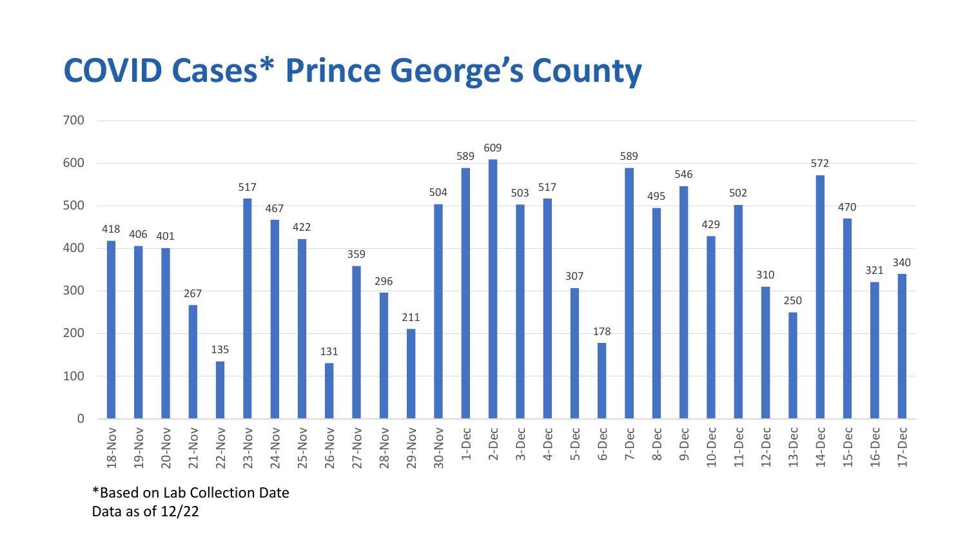## **COVID Cases\* Prince George's County**



\*Based on Lab Collection Date Data as of 12/22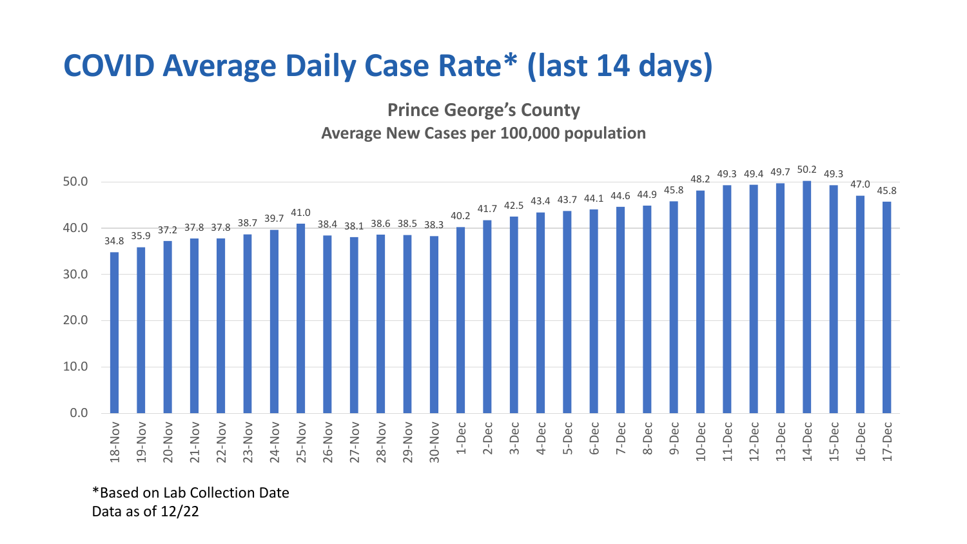## **COVID Average Daily Case Rate\* (last 14 days)**

**Prince George's County Average New Cases per 100,000 population**



\*Based on Lab Collection Date Data as of 12/22